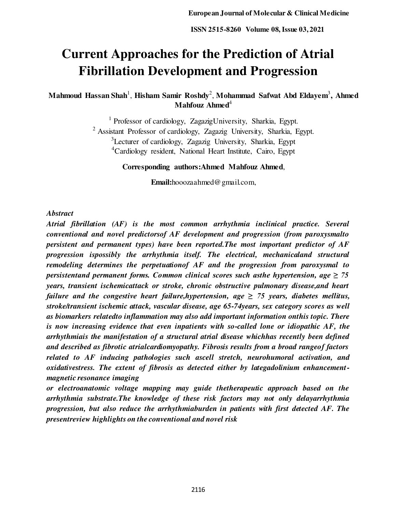# **Current Approaches for the Prediction of Atrial Fibrillation Development and Progression**

**Mahmoud Hassan Shah**<sup>1</sup> , **Hisham Samir Roshdy**<sup>2</sup> , **Mohammad Safwat Abd Eldayem**<sup>3</sup> **, Ahmed Mahfouz Ahmed**<sup>4</sup>

> <sup>1</sup> Professor of cardiology, ZagazigUniversity, Sharkia, Egypt. <sup>2</sup> Assistant Professor of cardiology, Zagazig University, Sharkia, Egypt. <sup>3</sup>Lecturer of cardiology, Zagazig University, Sharkia, Egypt <sup>4</sup>Cardiology resident, National Heart Institute, Cairo, Egypt

> > **Corresponding authors:Ahmed Mahfouz Ahmed**,

**Email:**[hooozaahmed@gmail.com,](mailto:hooozaahmed@gmail.com,) 

## *Abstract*

*Atrial fibrillation (AF) is the most common arrhythmia inclinical practice. Several conventional and novel predictorsof AF development and progression (from paroxysmalto persistent and permanent types) have been reported.The most important predictor of AF progression ispossibly the arrhythmia itself. The electrical, mechanicaland structural remodeling determines the perpetuationof AF and the progression from paroxysmal to persistentand permanent forms. Common clinical scores such asthe hypertension, age*  $\geq 75$ *years, transient ischemicattack or stroke, chronic obstructive pulmonary disease,and heart failure and the congestive heart failure,hypertension, age*  $\geq$  *75 years, diabetes mellitus, stroke/transient ischemic attack, vascular disease, age 65-74years, sex category scores as well as biomarkers relatedto inflammation may also add important information onthis topic. There is now increasing evidence that even inpatients with so-called lone or idiopathic AF, the arrhythmiais the manifestation of a structural atrial disease whichhas recently been defined and described as fibrotic atrialcardiomyopathy. Fibrosis results from a broad rangeof factors related to AF inducing pathologies such ascell stretch, neurohumoral activation, and oxidativestress. The extent of fibrosis as detected either by lategadolinium enhancementmagnetic resonance imaging* 

*or electroanatomic voltage mapping may guide thetherapeutic approach based on the arrhythmia substrate.The knowledge of these risk factors may not only delayarrhythmia progression, but also reduce the arrhythmiaburden in patients with first detected AF. The presentreview highlights on the conventional and novel risk*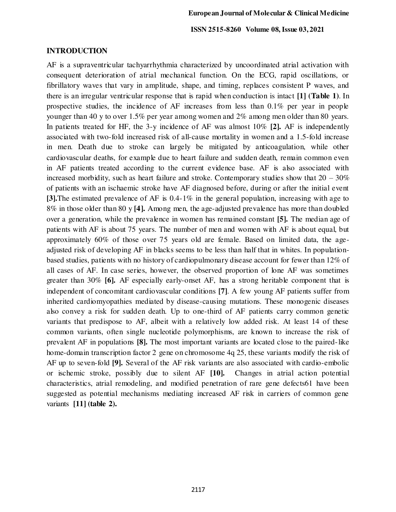#### **INTRODUCTION**

AF is a supraventricular tachyarrhythmia characterized by uncoordinated atrial activation with consequent deterioration of atrial mechanical function. On the ECG, rapid oscillations, or fibrillatory waves that vary in amplitude, shape, and timing, replaces consistent P waves, and there is an irregular ventricular response that is rapid when conduction is intact **[1] (Table 1)**. In prospective studies, the incidence of AF increases from less than 0.1% per year in people younger than 40 y to over 1.5% per year among women and 2% among men older than 80 years. In patients treated for HF, the 3-y incidence of AF was almost 10% **[2].** AF is independently associated with two-fold increased risk of all-cause mortality in women and a 1.5-fold increase in men. Death due to stroke can largely be mitigated by anticoagulation, while other cardiovascular deaths, for example due to heart failure and sudden death, remain common even in AF patients treated according to the current evidence base. AF is also associated with increased morbidity, such as heart failure and stroke. Contemporary studies show that  $20 - 30\%$ of patients with an ischaemic stroke have AF diagnosed before, during or after the initial event **[3].**The estimated prevalence of AF is 0.4-1% in the general population, increasing with age to 8% in those older than 80 y **[4].** Among men, the age-adjusted prevalence has more than doubled over a generation, while the prevalence in women has remained constant **[5].** The median age of patients with AF is about 75 years. The number of men and women with AF is about equal, but approximately 60% of those over 75 years old are female. Based on limited data, the ageadjusted risk of developing AF in blacks seems to be less than half that in whites. In populationbased studies, patients with no history of cardiopulmonary disease account for fewer than 12% of all cases of AF. In case series, however, the observed proportion of lone AF was sometimes greater than 30% **[6].** AF especially early-onset AF, has a strong heritable component that is independent of concomitant cardiovascular conditions **[7]**. A few young AF patients suffer from inherited cardiomyopathies mediated by disease-causing mutations. These monogenic diseases also convey a risk for sudden death. Up to one-third of AF patients carry common genetic variants that predispose to AF, albeit with a relatively low added risk. At least 14 of these common variants, often single nucleotide polymorphisms, are known to increase the risk of prevalent AF in populations **[8].** The most important variants are located close to the paired-like home-domain transcription factor 2 gene on chromosome 4q 25, these variants modify the risk of AF up to seven-fold **[9].** Several of the AF risk variants are also associated with cardio-embolic or ischemic stroke, possibly due to silent AF **[10].** Changes in atrial action potential characteristics, atrial remodeling, and modified penetration of rare gene defects61 have been suggested as potential mechanisms mediating increased AF risk in carriers of common gene variants **[11] (table 2).**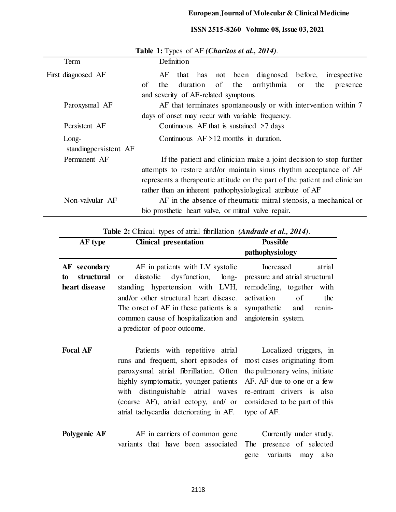| Term                  |                                                                            |     | Definition |     |     |     |                                                                 |           |     |              |
|-----------------------|----------------------------------------------------------------------------|-----|------------|-----|-----|-----|-----------------------------------------------------------------|-----------|-----|--------------|
| First diagnosed AF    |                                                                            | AF  | that       | has | not |     | been diagnosed                                                  | before,   |     | irrespective |
|                       | of                                                                         | the | duration   |     | of  | the | arrhythmia                                                      | <b>or</b> | the | presence     |
|                       | and severity of AF-related symptoms                                        |     |            |     |     |     |                                                                 |           |     |              |
| Paroxysmal AF         | AF that terminates spontaneously or with intervention within 7             |     |            |     |     |     |                                                                 |           |     |              |
|                       | days of onset may recur with variable frequency.                           |     |            |     |     |     |                                                                 |           |     |              |
| Persistent AF         | Continuous AF that is sustained $\geq 7$ days                              |     |            |     |     |     |                                                                 |           |     |              |
| Long-                 | Continuous $AF > 12$ months in duration.                                   |     |            |     |     |     |                                                                 |           |     |              |
| standingpersistent AF |                                                                            |     |            |     |     |     |                                                                 |           |     |              |
| Permanent AF          | If the patient and clinician make a joint decision to stop further         |     |            |     |     |     |                                                                 |           |     |              |
|                       | attempts to restore and/or maintain sinus rhythm acceptance of AF          |     |            |     |     |     |                                                                 |           |     |              |
|                       | represents a therapeutic attitude on the part of the patient and clinician |     |            |     |     |     |                                                                 |           |     |              |
|                       |                                                                            |     |            |     |     |     | rather than an inherent pathophysiological attribute of AF      |           |     |              |
| Non-valvular AF       |                                                                            |     |            |     |     |     | AF in the absence of rheumatic mitral stenosis, a mechanical or |           |     |              |
|                       | bio prosthetic heart valve, or mitral valve repair.                        |     |            |     |     |     |                                                                 |           |     |              |

**Table 1:** Types of AF *(Charitos et al., 2014)*.

**Table 2:** Clinical types of atrial fibrillation *(Andrade et al., 2014)*.

| AF type                                           | <b>Clinical presentation</b>                                                                                                                                                                                                                                                    | <b>Possible</b>                                                                                                                                                                                    |
|---------------------------------------------------|---------------------------------------------------------------------------------------------------------------------------------------------------------------------------------------------------------------------------------------------------------------------------------|----------------------------------------------------------------------------------------------------------------------------------------------------------------------------------------------------|
|                                                   |                                                                                                                                                                                                                                                                                 | pathophysiology                                                                                                                                                                                    |
| AF secondary<br>structural<br>to<br>heart disease | AF in patients with LV systolic<br>dysfunction, long-<br>diastolic<br><b>or</b><br>standing hypertension with LVH,<br>and/or other structural heart disease.<br>The onset of AF in these patients is a<br>common cause of hospitalization and<br>a predictor of poor outcome.   | Increased<br>atrial<br>pressure and atrial structural<br>remodeling, together<br>with<br>activation<br>of<br>the<br>sympathetic<br>and<br>renin-<br>angiotensin system.                            |
| <b>Focal AF</b>                                   | Patients with repetitive atrial<br>runs and frequent, short episodes of<br>paroxysmal atrial fibrillation. Often<br>highly symptomatic, younger patients<br>with distinguishable atrial waves<br>(coarse AF), atrial ectopy, and/ or<br>atrial tachycardia deteriorating in AF. | Localized triggers, in<br>most cases originating from<br>the pulmonary veins, initiate<br>AF. AF due to one or a few<br>re-entrant drivers is also<br>considered to be part of this<br>type of AF. |
| Polygenic AF                                      | AF in carriers of common gene<br>variants that have been associated                                                                                                                                                                                                             | Currently under study.<br>The presence of selected<br>variants<br>also<br>gene<br>may                                                                                                              |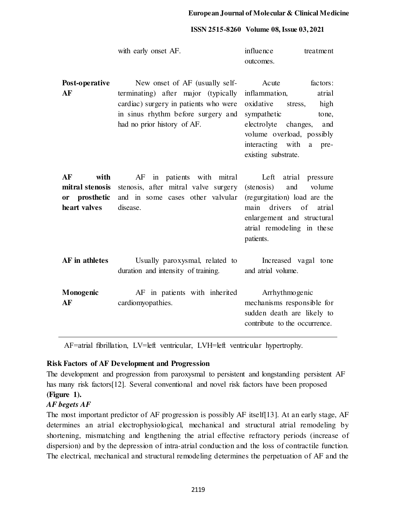|                                                                | with early onset AF.                                                                                                                                                                | influence<br>treatment<br>outcomes.                                                                                                                                                                                   |  |  |  |
|----------------------------------------------------------------|-------------------------------------------------------------------------------------------------------------------------------------------------------------------------------------|-----------------------------------------------------------------------------------------------------------------------------------------------------------------------------------------------------------------------|--|--|--|
| Post-operative<br>AF                                           | New onset of AF (usually self-<br>terminating) after major (typically<br>cardiac) surgery in patients who were<br>in sinus rhythm before surgery and<br>had no prior history of AF. | factors:<br>Acute<br>inflammation,<br>atrial<br>oxidative stress,<br>high<br>sympathetic<br>tone,<br>electrolyte changes,<br>and<br>volume overload, possibly<br>interacting with<br>a<br>pre-<br>existing substrate. |  |  |  |
| AF<br>with<br>mitral stenosis<br>or prosthetic<br>heart valves | AF in patients with mitral<br>stenosis, after mitral valve surgery<br>and in some cases other valvular<br>disease.                                                                  | Left atrial pressure<br>(stenosis)<br>and<br>volume<br>(regurgitation) load are the<br>drivers of<br>main<br>atrial<br>enlargement and structural<br>atrial remodeling in these<br>patients.                          |  |  |  |
| AF in athletes                                                 | Usually paroxysmal, related to<br>duration and intensity of training.                                                                                                               | Increased vagal tone<br>and atrial volume.                                                                                                                                                                            |  |  |  |
| Monogenic<br>AF                                                | AF in patients with inherited<br>cardiomyopathies.                                                                                                                                  | Arrhythmogenic<br>mechanisms responsible for<br>sudden death are likely to<br>contribute to the occurrence.                                                                                                           |  |  |  |

AF=atrial fibrillation, LV=left ventricular, LVH=left ventricular hypertrophy.

## **Risk Factors of AF Development and Progression**

The development and progression from paroxysmal to persistent and longstanding persistent AF has many risk factors[12]. Several conventional and novel risk factors have been proposed **(Figure 1).**

## *AF begets AF*

The most important predictor of AF progression is possibly AF itself[13]. At an early stage, AF determines an atrial electrophysiological, mechanical and structural atrial remodeling by shortening, mismatching and lengthening the atrial effective refractory periods (increase of dispersion) and by the depression of intra-atrial conduction and the loss of contractile function. The electrical, mechanical and structural remodeling determines the perpetuation of AF and the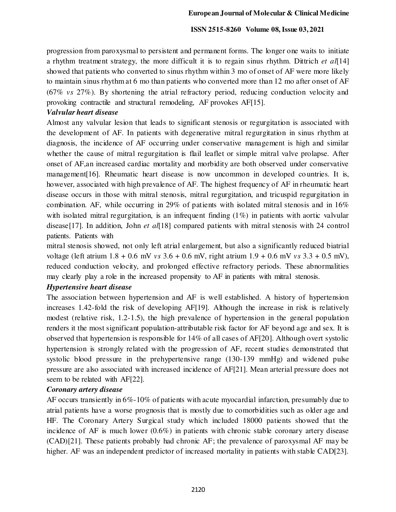progression from paroxysmal to persistent and permanent forms. The longer one waits to initiate a rhythm treatment strategy, the more difficult it is to regain sinus rhythm. Dittrich *et al*[14] showed that patients who converted to sinus rhythm within 3 mo of onset of AF were more likely to maintain sinus rhythm at 6 mo than patients who converted more than 12 mo after onset of AF (67% *vs* 27%). By shortening the atrial refractory period, reducing conduction velocity and provoking contractile and structural remodeling, AF provokes AF[15].

## *Valvular heart disease*

Almost any valvular lesion that leads to significant stenosis or regurgitation is associated with the development of AF. In patients with degenerative mitral regurgitation in sinus rhythm at diagnosis, the incidence of AF occurring under conservative management is high and similar whether the cause of mitral regurgitation is flail leaflet or simple mitral valve prolapse. After onset of AF,an increased cardiac mortality and morbidity are both observed under conservative management<sup>[16]</sup>. Rheumatic heart disease is now uncommon in developed countries. It is, however, associated with high prevalence of AF. The highest frequency of AF in rheumatic heart disease occurs in those with mitral stenosis, mitral regurgitation, and tricuspid regurgitation in combination. AF, while occurring in 29% of patients with isolated mitral stenosis and in 16% with isolated mitral regurgitation, is an infrequent finding  $(1\%)$  in patients with aortic valvular disease[17]. In addition, John *et al*[18] compared patients with mitral stenosis with 24 control patients. Patients with

mitral stenosis showed, not only left atrial enlargement, but also a significantly reduced biatrial voltage (left atrium 1.8 + 0.6 mV *vs* 3.6 + 0.6 mV, right atrium 1.9 + 0.6 mV *vs* 3.3 + 0.5 mV), reduced conduction velocity, and prolonged effective refractory periods. These abnormalities may clearly play a role in the increased propensity to AF in patients with mitral stenosis.

## *Hypertensive heart disease*

The association between hypertension and AF is well established. A history of hypertension increases 1.42-fold the risk of developing AF[19]. Although the increase in risk is relatively modest (relative risk, 1.2-1.5), the high prevalence of hypertension in the general population renders it the most significant population-attributable risk factor for AF beyond age and sex. It is observed that hypertension is responsible for 14% of all cases of AF[20]. Although overt systolic hypertension is strongly related with the progression of AF, recent studies demonstrated that systolic blood pressure in the prehypertensive range (130-139 mmHg) and widened pulse pressure are also associated with increased incidence of AF[21]. Mean arterial pressure does not seem to be related with AF[22].

## *Coronary artery disease*

AF occurs transiently in 6%-10% of patients with acute myocardial infarction, presumably due to atrial patients have a worse prognosis that is mostly due to comorbidities such as older age and HF. The Coronary Artery Surgical study which included 18000 patients showed that the incidence of AF is much lower (0.6%) in patients with chronic stable coronary artery disease (CAD)[21]. These patients probably had chronic AF; the prevalence of paroxysmal AF may be higher. AF was an independent predictor of increased mortality in patients with stable CAD[23].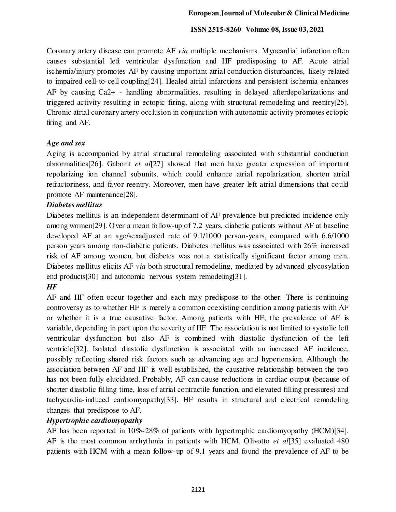Coronary artery disease can promote AF *via* multiple mechanisms. Myocardial infarction often causes substantial left ventricular dysfunction and HF predisposing to AF. Acute atrial ischemia/injury promotes AF by causing important atrial conduction disturbances, likely related to impaired cell-to-cell coupling[24]. Healed atrial infarctions and persistent ischemia enhances AF by causing Ca2+ - handling abnormalities, resulting in delayed afterdepolarizations and triggered activity resulting in ectopic firing, along with structural remodeling and reentry[25]. Chronic atrial coronary artery occlusion in conjunction with autonomic activity promotes ectopic firing and AF.

## *Age and sex*

Aging is accompanied by atrial structural remodeling associated with substantial conduction abnormalities[26]. Gaborit *et al*[27] showed that men have greater expression of important repolarizing ion channel subunits, which could enhance atrial repolarization, shorten atrial refractoriness, and favor reentry. Moreover, men have greater left atrial dimensions that could promote AF maintenance[28].

## *Diabetes mellitus*

Diabetes mellitus is an independent determinant of AF prevalence but predicted incidence only among women[29]. Over a mean follow-up of 7.2 years, diabetic patients without AF at baseline developed AF at an age/sexadjusted rate of 9.1/1000 person-years, compared with 6.6/1000 person years among non-diabetic patients. Diabetes mellitus was associated with 26% increased risk of AF among women, but diabetes was not a statistically significant factor among men. Diabetes mellitus elicits AF *via* both structural remodeling, mediated by advanced glycosylation end products[30] and autonomic nervous system remodeling[31].

## *HF*

AF and HF often occur together and each may predispose to the other. There is continuing controversy as to whether HF is merely a common coexisting condition among patients with AF or whether it is a true causative factor. Among patients with HF, the prevalence of AF is variable, depending in part upon the severity of HF. The association is not limited to systolic left ventricular dysfunction but also AF is combined with diastolic dysfunction of the left ventricle[32]. Isolated diastolic dysfunction is associated with an increased AF incidence, possibly reflecting shared risk factors such as advancing age and hypertension. Although the association between AF and HF is well established, the causative relationship between the two has not been fully elucidated. Probably, AF can cause reductions in cardiac output (because of shorter diastolic filling time, loss of atrial contractile function, and elevated filling pressures) and tachycardia-induced cardiomyopathy[33]. HF results in structural and electrical remodeling changes that predispose to AF.

## *Hypertrophic cardiomyopathy*

AF has been reported in 10%-28% of patients with hypertrophic cardiomyopathy (HCM)[34]. AF is the most common arrhythmia in patients with HCM. Olivotto *et al*[35] evaluated 480 patients with HCM with a mean follow-up of 9.1 years and found the prevalence of AF to be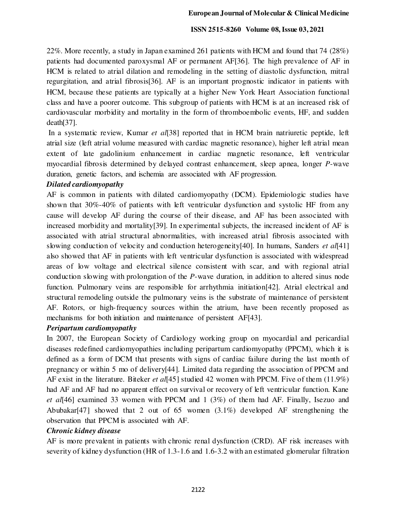22%. More recently, a study in Japan examined 261 patients with HCM and found that 74 (28%) patients had documented paroxysmal AF or permanent AF[36]. The high prevalence of AF in HCM is related to atrial dilation and remodeling in the setting of diastolic dysfunction, mitral regurgitation, and atrial fibrosis[36]. AF is an important prognostic indicator in patients with HCM, because these patients are typically at a higher New York Heart Association functional class and have a poorer outcome. This subgroup of patients with HCM is at an increased risk of cardiovascular morbidity and mortality in the form of thromboembolic events, HF, and sudden death[37].

 In a systematic review, Kumar *et al*[38] reported that in HCM brain natriuretic peptide, left atrial size (left atrial volume measured with cardiac magnetic resonance), higher left atrial mean extent of late gadolinium enhancement in cardiac magnetic resonance, left ventricular myocardial fibrosis determined by delayed contrast enhancement, sleep apnea, longer *P*-wave duration, genetic factors, and ischemia are associated with AF progression.

## *Dilated cardiomyopathy*

AF is common in patients with dilated cardiomyopathy (DCM). Epidemiologic studies have shown that 30%-40% of patients with left ventricular dysfunction and systolic HF from any cause will develop AF during the course of their disease, and AF has been associated with increased morbidity and mortality[39]. In experimental subjects, the increased incident of AF is associated with atrial structural abnormalities, with increased atrial fibrosis associated with slowing conduction of velocity and conduction heterogeneity[40]. In humans, Sanders *et al*[41] also showed that AF in patients with left ventricular dysfunction is associated with widespread areas of low voltage and electrical silence consistent with scar, and with regional atrial conduction slowing with prolongation of the *P*-wave duration, in addition to altered sinus node function. Pulmonary veins are responsible for arrhythmia initiation [42]. Atrial electrical and structural remodeling outside the pulmonary veins is the substrate of maintenance of persistent AF. Rotors, or high-frequency sources within the atrium, have been recently proposed as mechanisms for both initiation and maintenance of persistent AF[43].

## *Peripartum cardiomyopathy*

In 2007, the European Society of Cardiology working group on myocardial and pericardial diseases redefined cardiomyopathies including peripartum cardiomyopathy (PPCM), which it is defined as a form of DCM that presents with signs of cardiac failure during the last month of pregnancy or within 5 mo of delivery[44]. Limited data regarding the association of PPCM and AF exist in the literature. Biteker *et al*[45] studied 42 women with PPCM. Five of them (11.9%) had AF and AF had no apparent effect on survival or recovery of left ventricular function. Kane *et al*[46] examined 33 women with PPCM and 1 (3%) of them had AF. Finally, Isezuo and Abubakar[47] showed that 2 out of 65 women  $(3.1\%)$  developed AF strengthening the observation that PPCM is associated with AF.

## *Chronic kidney disease*

AF is more prevalent in patients with chronic renal dysfunction (CRD). AF risk increases with severity of kidney dysfunction (HR of 1.3-1.6 and 1.6-3.2 with an estimated glomerular filtration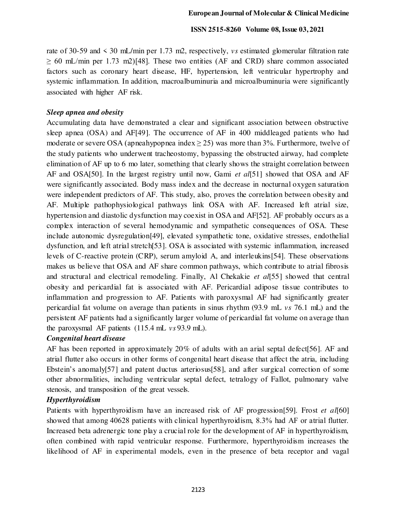rate of 30-59 and < 30 mL/min per 1.73 m2, respectively, *vs* estimated glomerular filtration rate  $\geq 60$  mL/min per 1.73 m2)[48]. These two entities (AF and CRD) share common associated factors such as coronary heart disease, HF, hypertension, left ventricular hypertrophy and systemic inflammation. In addition, macroalbuminuria and microalbuminuria were significantly associated with higher AF risk.

#### *Sleep apnea and obesity*

Accumulating data have demonstrated a clear and significant association between obstructive sleep apnea (OSA) and AF[49]. The occurrence of AF in 400 middleaged patients who had moderate or severe OSA (apneahypopnea index  $\geq$  25) was more than 3%. Furthermore, twelve of the study patients who underwent tracheostomy, bypassing the obstructed airway, had complete elimination of AF up to 6 mo later, something that clearly shows the straight correlation between AF and OSA[50]. In the largest registry until now, Gami *et al*[51] showed that OSA and AF were significantly associated. Body mass index and the decrease in nocturnal oxygen saturation were independent predictors of AF. This study, also, proves the correlation between obesity and AF. Multiple pathophysiological pathways link OSA with AF. Increased left atrial size, hypertension and diastolic dysfunction may coexist in OSA and AF[52]. AF probably occurs as a complex interaction of several hemodynamic and sympathetic consequences of OSA. These include autonomic dysregulation[49], elevated sympathetic tone, oxidative stresses, endothelial dysfunction, and left atrial stretch[53]. OSA is associated with systemic inflammation, increased levels of C-reactive protein (CRP), serum amyloid A, and interleukins[54]. These observations makes us believe that OSA and AF share common pathways, which contribute to atrial fibrosis and structural and electrical remodeling. Finally, Al Chekakie *et al*[55] showed that central obesity and pericardial fat is associated with AF. Pericardial adipose tissue contributes to inflammation and progression to AF. Patients with paroxysmal AF had significantly greater pericardial fat volume on average than patients in sinus rhythm (93.9 mL *vs* 76.1 mL) and the persistent AF patients had a significantly larger volume of pericardial fat volume on average than the paroxysmal AF patients (115.4 mL *vs* 93.9 mL).

## *Congenital heart disease*

AF has been reported in approximately 20% of adults with an arial septal defect[56]. AF and atrial flutter also occurs in other forms of congenital heart disease that affect the atria, including Ebstein's anomaly[57] and patent ductus arteriosus[58], and after surgical correction of some other abnormalities, including ventricular septal defect, tetralogy of Fallot, pulmonary valve stenosis, and transposition of the great vessels.

## *Hyperthyroidism*

Patients with hyperthyroidism have an increased risk of AF progression[59]. Frost *et al*[60] showed that among 40628 patients with clinical hyperthyroidism, 8.3% had ΑF or atrial flutter. Increased beta adrenergic tone play a crucial role for the development of AF in hyperthyroidism, often combined with rapid ventricular response. Furthermore, hyperthyroidism increases the likelihood of AF in experimental models, even in the presence of beta receptor and vagal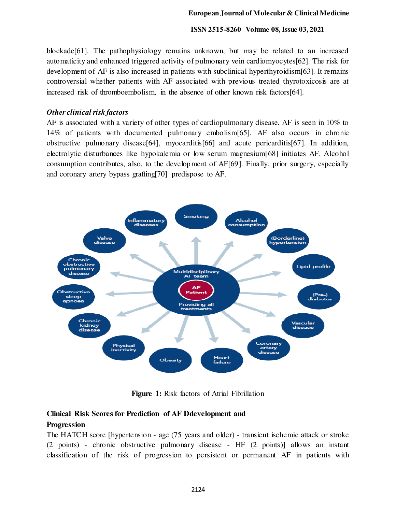blockade[61]. The pathophysiology remains unknown, but may be related to an increased automaticity and enhanced triggered activity of pulmonary vein cardiomyocytes[62]. The risk for development of AF is also increased in patients with subclinical hyperthyroidism[63]. It remains controversial whether patients with AF associated with previous treated thyrotoxicosis are at increased risk of thromboembolism, in the absence of other known risk factors[64].

### *Other clinical risk factors*

AF is associated with a variety of other types of cardiopulmonary disease. AF is seen in 10% to 14% of patients with documented pulmonary embolism[65]. AF also occurs in chronic obstructive pulmonary disease[64], myocarditis[66] and acute pericarditis[67]. In addition, electrolytic disturbances like hypokalemia or low serum magnesium[68] initiates AF. Alcohol consumption contributes, also, to the development of AF[69]. Finally, prior surgery, especially and coronary artery bypass grafting[70] predispose to AF.



**Figure 1:** Risk factors of Atrial Fibrillation

## **Clinical Risk Scores for Prediction of AF Ddevelopment and**

## **Progression**

The HATCH score [hypertension - age (75 years and older) - transient ischemic attack or stroke (2 points) - chronic obstructive pulmonary disease - HF (2 points)] allows an instant classification of the risk of progression to persistent or permanent AF in patients with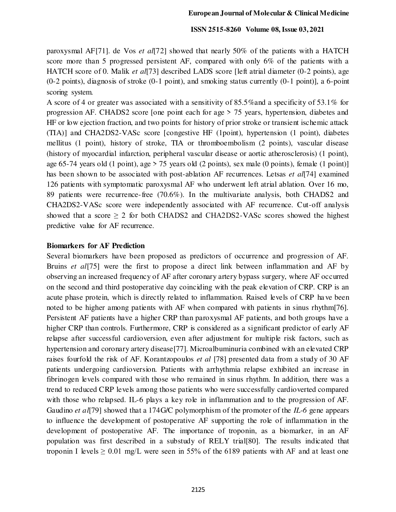paroxysmal AF[71]. de Vos *et al*[72] showed that nearly 50% of the patients with a HATCH score more than 5 progressed persistent AF, compared with only 6% of the patients with a HATCH score of 0. Malik *et al*[73] described LADS score [left atrial diameter (0-2 points), age (0-2 points), diagnosis of stroke (0-1 point), and smoking status currently (0-1 point)], a 6-point scoring system.

A score of 4 or greater was associated with a sensitivity of 85.5%and a specificity of 53.1% for progression AF. CHADS2 score [one point each for age > 75 years, hypertension, diabetes and HF or low ejection fraction, and two points for history of prior stroke or transient ischemic attack (TIA)] and CHA2DS2-VASc score [congestive HF (1point), hypertension (1 point), diabetes mellitus (1 point), history of stroke, TIA or thromboembolism (2 points), vascular disease (history of myocardial infarction, peripheral vascular disease or aortic atherosclerosis) (1 point), age 65-74 years old (1 point), age  $> 75$  years old (2 points), sex male (0 points), female (1 point)] has been shown to be associated with post-ablation AF recurrences. Letsas *et al*[74] examined 126 patients with symptomatic paroxysmal AF who underwent left atrial ablation. Over 16 mo, 89 patients were recurrence-free (70.6%). In the multivariate analysis, both CHADS2 and CHA2DS2-VASc score were independently associated with AF recurrence. Cut-off analysis showed that a score > 2 for both CHADS2 and CHA2DS2-VASc scores showed the highest predictive value for AF recurrence.

#### **Biomarkers for AF Prediction**

Several biomarkers have been proposed as predictors of occurrence and progression of AF. Bruins *et al*[75] were the first to propose a direct link between inflammation and AF by observing an increased frequency of AF after coronary artery bypass surgery, where AF occurred on the second and third postoperative day coinciding with the peak elevation of CRP. CRP is an acute phase protein, which is directly related to inflammation. Raised levels of CRP ha ve been noted to be higher among patients with AF when compared with patients in sinus rhythm[76]. Persistent AF patients have a higher CRP than paroxysmal AF patients, and both groups have a higher CRP than controls. Furthermore, CRP is considered as a significant predictor of early AF relapse after successful cardioversion, even after adjustment for multiple risk factors, such as hypertension and coronary artery disease<sup>[77]</sup>. Microalbuminuria combined with an elevated CRP raises fourfold the risk of AF. Korantzopoulos *et al* [78] presented data from a study of 30 AF patients undergoing cardioversion. Patients with arrhythmia relapse exhibited an increase in fibrinogen levels compared with those who remained in sinus rhythm. In addition, there was a trend to reduced CRP levels among those patients who were successfully cardioverted compared with those who relapsed. IL-6 plays a key role in inflammation and to the progression of AF. Gaudino *et al*[79] showed that a 174G/C polymorphism of the promoter of the *IL-6* gene appears to influence the development of postoperative AF supporting the role of inflammation in the development of postoperative AF. The importance of troponin, as a biomarker, in an AF population was first described in a substudy of RELY trial[80]. The results indicated that troponin I levels  $\geq 0.01$  mg/L were seen in 55% of the 6189 patients with AF and at least one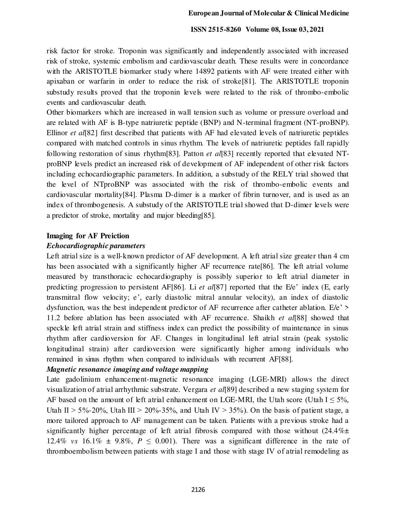risk factor for stroke. Troponin was significantly and independently associated with increased risk of stroke, systemic embolism and cardiovascular death. These results were in concordance with the ARISTOTLE biomarker study where 14892 patients with AF were treated either with apixaban or warfarin in order to reduce the risk of stroke[81]. The ARISTOTLE troponin substudy results proved that the troponin levels were related to the risk of thrombo-embolic events and cardiovascular death.

Other biomarkers which are increased in wall tension such as volume or pressure overload and are related with AF is B-type natriuretic peptide (BNP) and N-terminal fragment (NT-proBNP). Ellinor *et al*[82] first described that patients with AF had elevated levels of natriuretic peptides compared with matched controls in sinus rhythm. The levels of natriuretic peptides fall rapidly following restoration of sinus rhythm[83]. Patton *et al*[83] recently reported that elevated NTproBNP levels predict an increased risk of development of AF independent of other risk factors including echocardiographic parameters. In addition, a substudy of the RELY trial showed that the level of NTproBNP was associated with the risk of thrombo-embolic events and cardiovascular mortality[84]. Plasma D-dimer is a marker of fibrin turnover, and is used as an index of thrombogenesis. A substudy of the ARISTOTLE trial showed that D-dimer levels were a predictor of stroke, mortality and major bleeding[85].

#### **Imaging for AF Preiction**

#### *Echocardiographic parameters*

Left atrial size is a well-known predictor of AF development. A left atrial size greater than 4 cm has been associated with a significantly higher AF recurrence rate[86]. The left atrial volume measured by transthoracic echocardiography is possibly superior to left atrial diameter in predicting progression to persistent AF[86]. Li *et al*[87] reported that the E/e' index (E, early transmitral flow velocity; e', early diastolic mitral annular velocity), an index of diastolic dysfunction, was the best independent predictor of AF recurrence after catheter ablation.  $E/e'$  > 11.2 before ablation has been associated with AF recurrence. Shaikh *et al*[88] showed that speckle left atrial strain and stiffness index can predict the possibility of maintenance in sinus rhythm after cardioversion for AF. Changes in longitudinal left atrial strain (peak systolic longitudinal strain) after cardioversion were significantly higher among individuals who remained in sinus rhythm when compared to individuals with recurrent AF[88].

## *Magnetic resonance imaging and voltage mapping*

Late gadolinium enhancement-magnetic resonance imaging (LGE-MRI) allows the direct visualization of atrial arrhythmic substrate. Vergara *et al*[89] described a new staging system for AF based on the amount of left atrial enhancement on LGE-MRI, the Utah score (Utah  $I \le 5\%$ , Utah II > 5%-20%, Utah III > 20%-35%, and Utah IV > 35%). On the basis of patient stage, a more tailored approach to AF management can be taken. Patients with a previous stroke had a significantly higher percentage of left atrial fibrosis compared with those without  $(24.4\% \pm$ 12.4% *vs* 16.1%  $\pm$  9.8%,  $P \le 0.001$ ). There was a significant difference in the rate of thromboembolism between patients with stage Ⅰ and those with stage Ⅳ of atrial remodeling as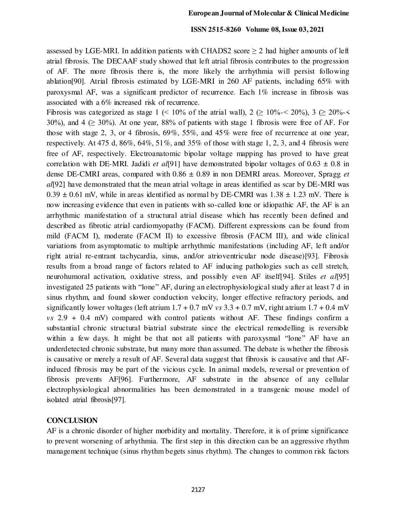assessed by LGE-MRI. In addition patients with CHADS2 score  $\geq 2$  had higher amounts of left atrial fibrosis. The DECAAF study showed that left atrial fibrosis contributes to the progression of AF. The more fibrosis there is, the more likely the arrhythmia will persist following ablation[90]. Atrial fibrosis estimated by LGE-MRI in 260 AF patients, including 65% with paroxysmal AF, was a significant predictor of recurrence. Each 1% increase in fibrosis was associated with a 6% increased risk of recurrence.

Fibrosis was categorized as stage 1 (< 10% of the atrial wall),  $2 \ge 10\% < 20\%$ ,  $3 \ge 20\% <$ 30%), and 4 ( $\geq$  30%). At one year, 88% of patients with stage 1 fibrosis were free of AF. For those with stage 2, 3, or 4 fibrosis, 69%, 55%, and 45% were free of recurrence at one year, respectively. At 475 d, 86%, 64%, 51%, and 35% of those with stage 1, 2, 3, and 4 fibrosis were free of AF, respectively. Electroanatomic bipolar voltage mapping has proved to have great correlation with DE-MRI. Jadidi *et al*[91] have demonstrated bipolar voltages of 0.63 ± 0.8 in dense DE-CMRI areas, compared with 0.86 ± 0.89 in non DEMRI areas. Moreover, Spragg *et al*[92] have demonstrated that the mean atrial voltage in areas identified as scar by DE-MRI was  $0.39 \pm 0.61$  mV, while in areas identified as normal by DE-CMRI was  $1.38 \pm 1.23$  mV. There is now increasing evidence that even in patients with so-called lone or idiopathic AF, the AF is an arrhythmic manifestation of a structural atrial disease which has recently been defined and described as fibrotic atrial cardiomyopathy (FACM). Different expressions can be found from mild (FACM I), moderate (FACM II) to excessive fibrosis (FACM III), and wide clinical variations from asymptomatic to multiple arrhythmic manifestations (including AF, le ft and/or right atrial re-entrant tachycardia, sinus, and/or atrioventricular node disease)[93]. Fibrosis results from a broad range of factors related to AF inducing pathologies such as cell stretch, neurohumoral activation, oxidative stress, and possibly even AF itself[94]. Stiles *et al*[95] investigated 25 patients with "lone" AF, during an electrophysiological study after at least 7 d in sinus rhythm, and found slower conduction velocity, longer effective refractory periods, and significantly lower voltages (left atrium  $1.7 + 0.7$  mV  $vs$   $3.3 + 0.7$  mV, right atrium  $1.7 + 0.4$  mV *vs* 2.9 + 0.4 mV) compared with control patients without AF. These findings confirm a substantial chronic structural biatrial substrate since the electrical remodelling is reversible within a few days. It might be that not all patients with paroxysmal "lone" AF have an underdetected chronic substrate, but many more than assumed. The debate is whether the fibrosis is causative or merely a result of AF. Several data suggest that fibrosis is causative and that AFinduced fibrosis may be part of the vicious cycle. In animal models, reversal or prevention of fibrosis prevents AF[96]. Furthermore, AF substrate in the absence of any cellular electrophysiological abnormalities has been demonstrated in a transgenic mouse model of isolated atrial fibrosis[97].

#### **CONCLUSION**

AF is a chronic disorder of higher morbidity and mortality. Therefore, it is of prime significance to prevent worsening of arhythmia. The first step in this direction can be an aggressive rhythm management technique (sinus rhythm begets sinus rhythm). The changes to common risk factors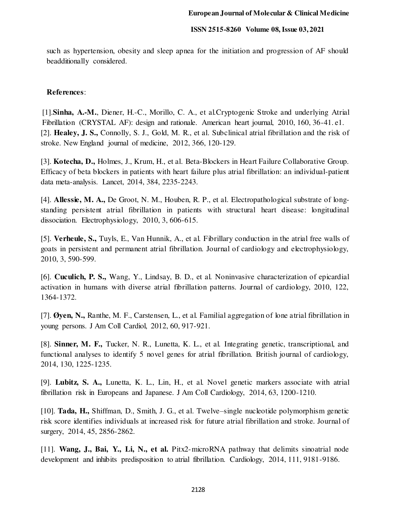such as hypertension, obesity and sleep apnea for the initiation and progression of AF should beadditionally considered.

## **References**:

[1].**Sinha, A.-M.**, Diener, H.-C., Morillo, C. A., et al.Cryptogenic Stroke and underlying Atrial Fibrillation (CRYSTAL AF): design and rationale. American heart journal, 2010, 160, 36-41. e1. [2]. **Healey, J. S.,** Connolly, S. J., Gold, M. R., et al. Subclinical atrial fibrillation and the risk of stroke. New England journal of medicine, 2012, 366, 120-129.

[3]. **Kotecha, D.,** Holmes, J., Krum, H., et al. Beta-Blockers in Heart Failure Collaborative Group. Efficacy of beta blockers in patients with heart failure plus atrial fibrillation: an individual-patient data meta-analysis. Lancet, 2014, 384, 2235-2243.

[4]. **Allessie, M. A.,** De Groot, N. M., Houben, R. P., et al. Electropathological substrate of longstanding persistent atrial fibrillation in patients with structural heart disease: longitudinal dissociation. Electrophysiology, 2010, 3, 606-615.

[5]. **Verheule, S.,** Tuyls, E., Van Hunnik, A., et al. Fibrillary conduction in the atrial free walls of goats in persistent and permanent atrial fibrillation. Journal of cardiology and electrophysiology, 2010, 3, 590-599.

[6]. **Cuculich, P. S.,** Wang, Y., Lindsay, B. D., et al. Noninvasive characterization of epicardial activation in humans with diverse atrial fibrillation patterns. Journal of cardiology, 2010, 122, 1364-1372.

[7]. **Øyen, N.,** Ranthe, M. F., Carstensen, L., et al. Familial aggregation of lone atrial fibrillation in young persons. J Am Coll Cardiol, 2012, 60, 917-921.

[8]. **Sinner, M. F.,** Tucker, N. R., Lunetta, K. L., et al. Integrating genetic, transcriptional, and functional analyses to identify 5 novel genes for atrial fibrillation. British journal of cardiology, 2014, 130, 1225-1235.

[9]. **Lubitz, S. A.,** Lunetta, K. L., Lin, H., et al. Novel genetic markers associate with atrial fibrillation risk in Europeans and Japanese. J Am Coll Cardiology, 2014, 63, 1200-1210.

[10]. **Tada, H.,** Shiffman, D., Smith, J. G., et al. Twelve–single nucleotide polymorphism genetic risk score identifies individuals at increased risk for future atrial fibrillation and stroke. Journal of surgery, 2014, 45, 2856-2862.

[11]. **Wang, J., Bai, Y., Li, N., et al.** Pitx2-microRNA pathway that delimits sinoatrial node development and inhibits predisposition to atrial fibrillation. Cardiology, 2014, 111, 9181-9186.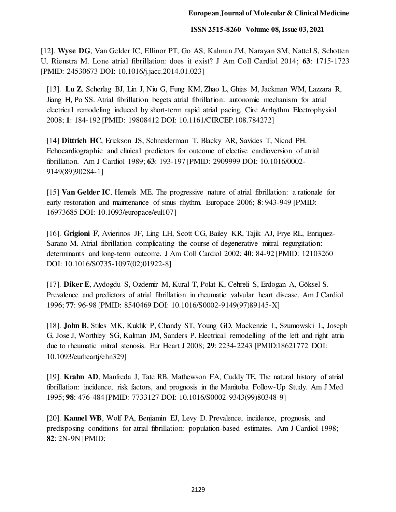[12]. **Wyse DG**, Van Gelder IC, Ellinor PT, Go AS, Kalman JM, Narayan SM, Nattel S, Schotten U, Rienstra M. Lone atrial fibrillation: does it exist? J Am Coll Cardiol 2014; **63**: 1715-1723 [PMID: 24530673 DOI: 10.1016/j.jacc.2014.01.023]

[13]. **Lu Z**, Scherlag BJ, Lin J, Niu G, Fung KM, Zhao L, Ghias M, Jackman WM, Lazzara R, Jiang H, Po SS. Atrial fibrillation begets atrial fibrillation: autonomic mechanism for atrial electrical remodeling induced by short-term rapid atrial pacing. Circ Arrhythm Electrophysiol 2008; **1**: 184-192 [PMID: 19808412 DOI: 10.1161/CIRCEP.108.784272]

[14] **Dittrich HC**, Erickson JS, Schneiderman T, Blacky AR, Savides T, Nicod PH. Echocardiographic and clinical predictors for outcome of elective cardioversion of atrial fibrillation. Am J Cardiol 1989; **63**: 193-197 [PMID: 2909999 DOI: 10.1016/0002- 9149(89)90284-1]

[15] **Van Gelder IC**, Hemels ME. The progressive nature of atrial fibrillation: a rationale for early restoration and maintenance of sinus rhythm. Europace 2006; **8**: 943-949 [PMID: 16973685 DOI: 10.1093/europace/eul107]

[16]. **Grigioni F**, Avierinos JF, Ling LH, Scott CG, Bailey KR, Tajik AJ, Frye RL, Enriquez-Sarano M. Atrial fibrillation complicating the course of degenerative mitral regurgitation: determinants and long-term outcome. J Am Coll Cardiol 2002; **40**: 84-92 [PMID: 12103260 DOI: 10.1016/S0735-1097(02)01922-8]

[17]. **Diker E**, Aydogdu S, Ozdemir M, Kural T, Polat K, Cehreli S, Erdogan A, Göksel S. Prevalence and predictors of atrial fibrillation in rheumatic valvular heart disease. Am J Cardiol 1996; **77**: 96-98 [PMID: 8540469 DOI: 10.1016/S0002-9149(97)89145-X]

[18]. **John B**, Stiles MK, Kuklik P, Chandy ST, Young GD, Mackenzie L, Szumowski L, Joseph G, Jose J, Worthley SG, Kalman JM, Sanders P. Electrical remodelling of the left and right atria due to rheumatic mitral stenosis. Eur Heart J 2008; **29**: 2234-2243 [PMID:18621772 DOI: 10.1093/eurheartj/ehn329]

[19]. **Krahn AD**, Manfreda J, Tate RB, Mathewson FA, Cuddy TE. The natural history of atrial fibrillation: incidence, risk factors, and prognosis in the Manitoba Follow-Up Study. Am J Med 1995; **98**: 476-484 [PMID: 7733127 DOI: 10.1016/S0002-9343(99)80348-9]

[20]. **Kannel WB**, Wolf PA, Benjamin EJ, Levy D. Prevalence, incidence, prognosis, and predisposing conditions for atrial fibrillation: population-based estimates. Am J Cardiol 1998; **82**: 2N-9N [PMID: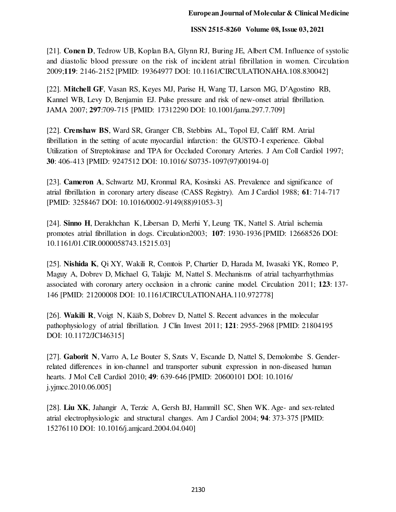[21]. **Conen D**, Tedrow UB, Koplan BA, Glynn RJ, Buring JE, Albert CM. Influence of systolic and diastolic blood pressure on the risk of incident atrial fibrillation in women. Circulation 2009;**119**: 2146-2152 [PMID: 19364977 DOI: 10.1161/CIRCULATIONAHA.108.830042]

[22]. **Mitchell GF**, Vasan RS, Keyes MJ, Parise H, Wang TJ, Larson MG, D'Agostino RB, Kannel WB, Levy D, Benjamin EJ. Pulse pressure and risk of new-onset atrial fibrillation. JAMA 2007; **297**:709-715 [PMID: 17312290 DOI: 10.1001/jama.297.7.709]

[22]. **Crenshaw BS**, Ward SR, Granger CB, Stebbins AL, Topol EJ, Califf RM. Atrial fibrillation in the setting of acute myocardial infarction: the GUSTO-I experience. Global Utilization of Streptokinase and TPA for Occluded Coronary Arteries. J Am Coll Cardiol 1997; **30**: 406-413 [PMID: 9247512 DOI: 10.1016/ S0735-1097(97)00194-0]

[23]. **Cameron A**, Schwartz MJ, Kronmal RA, Kosinski AS. Prevalence and significance of atrial fibrillation in coronary artery disease (CASS Registry). Am J Cardiol 1988; **61**: 714-717 [PMID: 3258467 DOI: 10.1016/0002-9149(88)91053-3]

[24]. **Sinno H**, Derakhchan K, Libersan D, Merhi Y, Leung TK, Nattel S. Atrial ischemia promotes atrial fibrillation in dogs. Circulation2003; **107**: 1930-1936 [PMID: 12668526 DOI: 10.1161/01.CIR.0000058743.15215.03]

[25]. **Nishida K**, Qi XY, Wakili R, Comtois P, Chartier D, Harada M, Iwasaki YK, Romeo P, Maguy A, Dobrev D, Michael G, Talajic M, Nattel S. Mechanisms of atrial tachyarrhythmias associated with coronary artery occlusion in a chronic canine model. Circulation 2011; **123**: 137- 146 [PMID: 21200008 DOI: 10.1161/CIRCULATIONAHA.110.972778]

[26]. **Wakili R**, Voigt N, Kääb S, Dobrev D, Nattel S. Recent advances in the molecular pathophysiology of atrial fibrillation. J Clin Invest 2011; **121**: 2955-2968 [PMID: 21804195 DOI: 10.1172/JCI46315]

[27]. **Gaborit N**, Varro A, Le Bouter S, Szuts V, Escande D, Nattel S, Demolombe S. Genderrelated differences in ion-channel and transporter subunit expression in non-diseased human hearts. J Mol Cell Cardiol 2010; **49**: 639-646 [PMID: 20600101 DOI: 10.1016/ j.yjmcc.2010.06.005]

[28]. **Liu XK**, Jahangir A, Terzic A, Gersh BJ, Hammill SC, Shen WK. Age- and sex-related atrial electrophysiologic and structural changes. Am J Cardiol 2004; **94**: 373-375 [PMID: 15276110 DOI: 10.1016/j.amjcard.2004.04.040]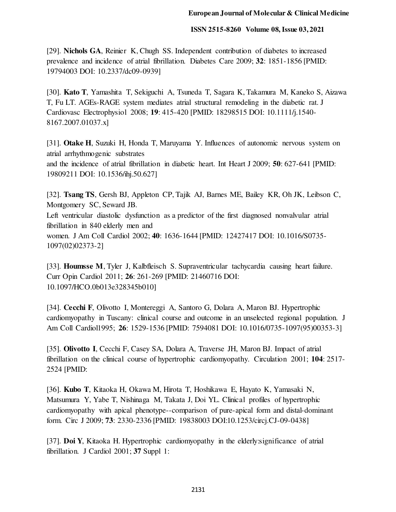[29]. **Nichols GA**, Reinier K, Chugh SS. Independent contribution of diabetes to increased prevalence and incidence of atrial fibrillation. Diabetes Care 2009; **32**: 1851-1856 [PMID: 19794003 DOI: 10.2337/dc09-0939]

[30]. **Kato T**, Yamashita T, Sekiguchi A, Tsuneda T, Sagara K, Takamura M, Kaneko S, Aizawa T, Fu LT. AGEs-RAGE system mediates atrial structural remodeling in the diabetic rat. J Cardiovasc Electrophysiol 2008; **19**: 415-420 [PMID: 18298515 DOI: 10.1111/j.1540- 8167.2007.01037.x]

[31]. **Otake H**, Suzuki H, Honda T, Maruyama Y. Influences of autonomic nervous system on atrial arrhythmogenic substrates and the incidence of atrial fibrillation in diabetic heart. Int Heart J 2009; **50**: 627-641 [PMID: 19809211 DOI: 10.1536/ihj.50.627]

[32]. **Tsang TS**, Gersh BJ, Appleton CP, Tajik AJ, Barnes ME, Bailey KR, Oh JK, Leibson C, Montgomery SC, Seward JB. Left ventricular diastolic dysfunction as a predictor of the first diagnosed nonvalvular atrial fibrillation in 840 elderly men and women. J Am Coll Cardiol 2002; **40**: 1636-1644 [PMID: 12427417 DOI: 10.1016/S0735- 1097(02)02373-2]

[33]. **Houmsse M**, Tyler J, Kalbfleisch S. Supraventricular tachycardia causing heart failure. Curr Opin Cardiol 2011; **26**: 261-269 [PMID: 21460716 DOI: 10.1097/HCO.0b013e328345b010]

[34]. **Cecchi F**, Olivotto I, Montereggi A, Santoro G, Dolara A, Maron BJ. Hypertrophic cardiomyopathy in Tuscany: clinical course and outcome in an unselected regional population. J Am Coll Cardiol1995; **26**: 1529-1536 [PMID: 7594081 DOI: 10.1016/0735-1097(95)00353-3]

[35]. **Olivotto I**, Cecchi F, Casey SA, Dolara A, Traverse JH, Maron BJ. Impact of atrial fibrillation on the clinical course of hypertrophic cardiomyopathy. Circulation 2001; **104**: 2517- 2524 [PMID:

[36]. **Kubo T**, Kitaoka H, Okawa M, Hirota T, Hoshikawa E, Hayato K, Yamasaki N, Matsumura Y, Yabe T, Nishinaga M, Takata J, Doi YL. Clinical profiles of hypertrophic cardiomyopathy with apical phenotype--comparison of pure-apical form and distal-dominant form. Circ J 2009; **73**: 2330-2336 [PMID: 19838003 DOI:10.1253/circj.CJ-09-0438]

[37]. **Doi Y**, Kitaoka H. Hypertrophic cardiomyopathy in the elderly:significance of atrial fibrillation. J Cardiol 2001; **37** Suppl 1: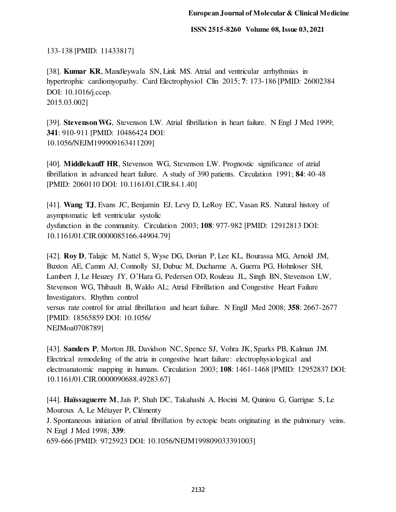133-138 [PMID: 11433817]

[38]. **Kumar KR**, Mandleywala SN, Link MS. Atrial and ventricular arrhythmias in hypertrophic cardiomyopathy. Card Electrophysiol Clin 2015; **7**: 173-186 [PMID: 26002384 DOI: 10.1016/j.ccep. 2015.03.002]

[39]. **Stevenson WG**, Stevenson LW. Atrial fibrillation in heart failure. N Engl J Med 1999; **341**: 910-911 [PMID: 10486424 DOI: 10.1056/NEJM199909163411209]

[40]. **Middlekauff HR**, Stevenson WG, Stevenson LW. Prognostic significance of atrial fibrillation in advanced heart failure. A study of 390 patients. Circulation 1991; **84**: 40-48 [PMID: 2060110 DOI: 10.1161/01.CIR.84.1.40]

[41]. **Wang TJ**, Evans JC, Benjamin EJ, Levy D, LeRoy EC, Vasan RS. Natural history of asymptomatic left ventricular systolic dysfunction in the community. Circulation 2003; **108**: 977-982 [PMID: 12912813 DOI: 10.1161/01.CIR.0000085166.44904.79]

[42]. **Roy D**, Talajic M, Nattel S, Wyse DG, Dorian P, Lee KL, Bourassa MG, Arnold JM, Buxton AE, Camm AJ, Connolly SJ, Dubuc M, Ducharme A, Guerra PG, Hohnloser SH, Lambert J, Le Heuzey JY, O'Hara G, Pedersen OD, Rouleau JL, Singh BN, Stevenson LW, Stevenson WG, Thibault B, Waldo AL; Atrial Fibrillation and Congestive Heart Failure Investigators. Rhythm control versus rate control for atrial fibrillation and heart failure. N EnglJ Med 2008; **358**: 2667-2677 [PMID: 18565859 DOI: 10.1056/ NEJMoa0708789]

[43]. **Sanders P**, Morton JB, Davidson NC, Spence SJ, Vohra JK, Sparks PB, Kalman JM. Electrical remodeling of the atria in congestive heart failure: electrophysiological and electroanatomic mapping in humans. Circulation 2003; **108**: 1461-1468 [PMID: 12952837 DOI: 10.1161/01.CIR.0000090688.49283.67]

[44]. **Haïssaguerre M**, Jaïs P, Shah DC, Takahashi A, Hocini M, Quiniou G, Garrigue S, Le Mouroux A, Le Métayer P, Clémenty

J. Spontaneous initiation of atrial fibrillation by ectopic beats originating in the pulmonary veins. N Engl J Med 1998; **339**:

659-666 [PMID: 9725923 DOI: 10.1056/NEJM199809033391003]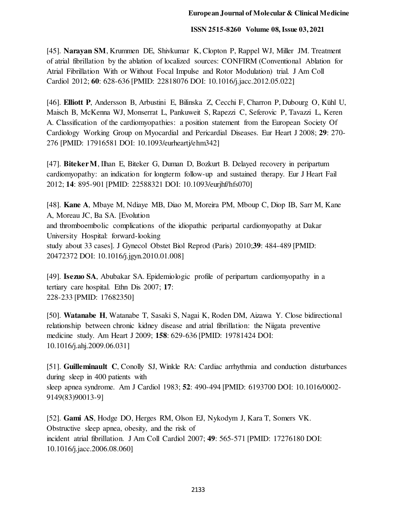[45]. **Narayan SM**, Krummen DE, Shivkumar K, Clopton P, Rappel WJ, Miller JM. Treatment of atrial fibrillation by the ablation of localized sources: CONFIRM (Conventional Ablation for Atrial Fibrillation With or Without Focal Impulse and Rotor Modulation) trial. J Am Coll Cardiol 2012; **60**: 628-636 [PMID: 22818076 DOI: 10.1016/j.jacc.2012.05.022]

[46]. **Elliott P**, Andersson B, Arbustini E, Bilinska Z, Cecchi F, Charron P, Dubourg O, Kühl U, Maisch B, McKenna WJ, Monserrat L, Pankuweit S, Rapezzi C, Seferovic P, Tavazzi L, Keren A. Classification of the cardiomyopathies: a position statement from the European Society Of Cardiology Working Group on Myocardial and Pericardial Diseases. Eur Heart J 2008; **29**: 270- 276 [PMID: 17916581 DOI: 10.1093/eurheartj/ehm342]

[47]. **Biteker M**, Ilhan E, Biteker G, Duman D, Bozkurt B. Delayed recovery in peripartum cardiomyopathy: an indication for longterm follow-up and sustained therapy. Eur J Heart Fail 2012; **14**: 895-901 [PMID: 22588321 DOI: 10.1093/eurjhf/hfs070]

[48]. **Kane A**, Mbaye M, Ndiaye MB, Diao M, Moreira PM, Mboup C, Diop IB, Sarr M, Kane A, Moreau JC, Ba SA. [Evolution and thromboembolic complications of the idiopathic peripartal cardiomyopathy at Dakar University Hospital: forward-looking study about 33 cases]. J Gynecol Obstet Biol Reprod (Paris) 2010;**39**: 484-489 [PMID: 20472372 DOI: 10.1016/j.jgyn.2010.01.008]

[49]. **Isezuo SA**, Abubakar SA. Epidemiologic profile of peripartum cardiomyopathy in a tertiary care hospital. Ethn Dis 2007; **17**: 228-233 [PMID: 17682350]

[50]. **Watanabe H**, Watanabe T, Sasaki S, Nagai K, Roden DM, Aizawa Y. Close bidirectional relationship between chronic kidney disease and atrial fibrillation: the Niigata preventive medicine study. Am Heart J 2009; **158**: 629-636 [PMID: 19781424 DOI: 10.1016/j.ahj.2009.06.031]

[51]. **Guilleminault C**, Conolly SJ, Winkle RA: Cardiac arrhythmia and conduction disturbances during sleep in 400 patients with sleep apnea syndrome. Am J Cardiol 1983; **52**: 490-494 [PMID: 6193700 DOI: 10.1016/0002- 9149(83)90013-9]

[52]. **Gami AS**, Hodge DO, Herges RM, Olson EJ, Nykodym J, Kara T, Somers VK. Obstructive sleep apnea, obesity, and the risk of incident atrial fibrillation. J Am Coll Cardiol 2007; **49**: 565-571 [PMID: 17276180 DOI: 10.1016/j.jacc.2006.08.060]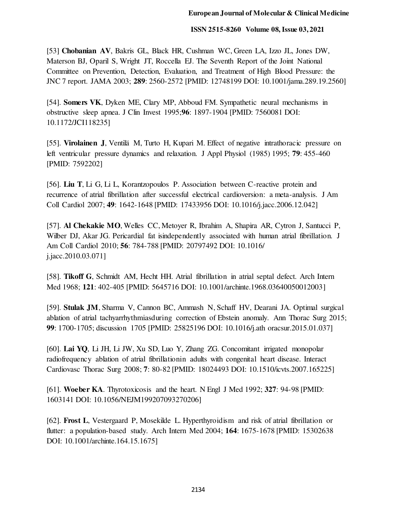[53] **Chobanian AV**, Bakris GL, Black HR, Cushman WC, Green LA, Izzo JL, Jones DW, Materson BJ, Oparil S, Wright JT, Roccella EJ. The Seventh Report of the Joint National Committee on Prevention, Detection, Evaluation, and Treatment of High Blood Pressure: the JNC 7 report. JAMA 2003; **289**: 2560-2572 [PMID: 12748199 DOI: 10.1001/jama.289.19.2560]

[54]. **Somers VK**, Dyken ME, Clary MP, Abboud FM. Sympathetic neural mechanisms in obstructive sleep apnea. J Clin Invest 1995;**96**: 1897-1904 [PMID: 7560081 DOI: 10.1172/JCI118235]

[55]. **Virolainen J**, Ventilä M, Turto H, Kupari M. Effect of negative intrathoracic pressure on left ventricular pressure dynamics and relaxation. J Appl Physiol (1985) 1995; **79**: 455-460 [PMID: 7592202]

[56]. **Liu T**, Li G, Li L, Korantzopoulos P. Association between C-reactive protein and recurrence of atrial fibrillation after successful electrical cardioversion: a meta-analysis. J Am Coll Cardiol 2007; **49**: 1642-1648 [PMID: 17433956 DOI: 10.1016/j.jacc.2006.12.042]

[57]. **Al Chekakie MO**, Welles CC, Metoyer R, Ibrahim A, Shapira AR, Cytron J, Santucci P, Wilber DJ, Akar JG. Pericardial fat isindependently associated with human atrial fibrillation. J Am Coll Cardiol 2010; **56**: 784-788 [PMID: 20797492 DOI: 10.1016/ j.jacc.2010.03.071]

[58]. **Tikoff G**, Schmidt AM, Hecht HH. Atrial fibrillation in atrial septal defect. Arch Intern Med 1968; **121**: 402-405 [PMID: 5645716 DOI: 10.1001/archinte.1968.03640050012003]

[59]. **Stulak JM**, Sharma V, Cannon BC, Ammash N, Schaff HV, Dearani JA. Optimal surgical ablation of atrial tachyarrhythmiasduring correction of Ebstein anomaly. Ann Thorac Surg 2015; **99**: 1700-1705; discussion 1705 [PMID: 25825196 DOI: 10.1016/j.ath oracsur.2015.01.037]

[60]. **Lai YQ**, Li JH, Li JW, Xu SD, Luo Y, Zhang ZG. Concomitant irrigated monopolar radiofrequency ablation of atrial fibrillationin adults with congenital heart disease. Interact Cardiovasc Thorac Surg 2008; **7**: 80-82 [PMID: 18024493 DOI: 10.1510/icvts.2007.165225]

[61]. **Woeber KA**. Thyrotoxicosis and the heart. N Engl J Med 1992; **327**: 94-98 [PMID: 1603141 DOI: 10.1056/NEJM199207093270206]

[62]. **Frost L**, Vestergaard P, Mosekilde L. Hyperthyroidism and risk of atrial fibrillation or flutter: a population-based study. Arch Intern Med 2004; **164**: 1675-1678 [PMID: 15302638 DOI: 10.1001/archinte.164.15.1675]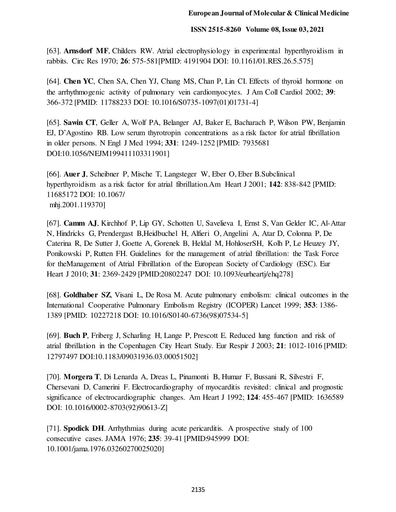[63]. **Arnsdorf MF**, Childers RW. Atrial electrophysiology in experimental hyperthyroidism in rabbits. Circ Res 1970; **26**: 575-581[PMID: 4191904 DOI: 10.1161/01.RES.26.5.575]

[64]. **Chen YC**, Chen SA, Chen YJ, Chang MS, Chan P, Lin CI. Effects of thyroid hormone on the arrhythmogenic activity of pulmonary vein cardiomyocytes. J Am Coll Cardiol 2002; **39**: 366-372 [PMID: 11788233 DOI: 10.1016/S0735-1097(01)01731-4]

[65]. **Sawin CT**, Geller A, Wolf PA, Belanger AJ, Baker E, Bacharach P, Wilson PW, Benjamin EJ, D'Agostino RB. Low serum thyrotropin concentrations as a risk factor for atrial fibrillation in older persons. N Engl J Med 1994; **331**: 1249-1252 [PMID: 7935681 DOI:10.1056/NEJM199411103311901]

[66]. **Auer J**, Scheibner P, Mische T, Langsteger W, Eber O, Eber B.Subclinical hyperthyroidism as a risk factor for atrial fibrillation.Am Heart J 2001; **142**: 838-842 [PMID: 11685172 DOI: 10.1067/ mhj.2001.119370]

[67]. **Camm AJ**, Kirchhof P, Lip GY, Schotten U, Savelieva I, Ernst S, Van Gelder IC, Al-Attar N, Hindricks G, Prendergast B,Heidbuchel H, Alfieri O, Angelini A, Atar D, Colonna P, De Caterina R, De Sutter J, Goette A, Gorenek B, Heldal M, HohloserSH, Kolh P, Le Heuzey JY, Ponikowski P, Rutten FH. Guidelines for the management of atrial fibrillation: the Task Force for theManagement of Atrial Fibrillation of the European Society of Cardiology (ESC). Eur Heart J 2010; **31**: 2369-2429 [PMID:20802247 DOI: 10.1093/eurheartj/ehq278]

[68]. **Goldhaber SZ**, Visani L, De Rosa M. Acute pulmonary embolism: clinical outcomes in the International Cooperative Pulmonary Embolism Registry (ICOPER) Lancet 1999; **353**: 1386- 1389 [PMID: 10227218 DOI: 10.1016/S0140-6736(98)07534-5]

[69]. **Buch P**, Friberg J, Scharling H, Lange P, Prescott E. Reduced lung function and risk of atrial fibrillation in the Copenhagen City Heart Study. Eur Respir J 2003; **21**: 1012-1016 [PMID: 12797497 DOI:10.1183/09031936.03.00051502]

[70]. **Morgera T**, Di Lenarda A, Dreas L, Pinamonti B, Humar F, Bussani R, Silvestri F, Chersevani D, Camerini F. Electrocardiography of myocarditis revisited: clinical and prognostic significance of electrocardiographic changes. Am Heart J 1992; **124**: 455-467 [PMID: 1636589 DOI: 10.1016/0002-8703(92)90613-Z]

[71]. **Spodick DH**. Arrhythmias during acute pericarditis. A prospective study of 100 consecutive cases. JAMA 1976; **235**: 39-41 [PMID:945999 DOI: 10.1001/jama.1976.03260270025020]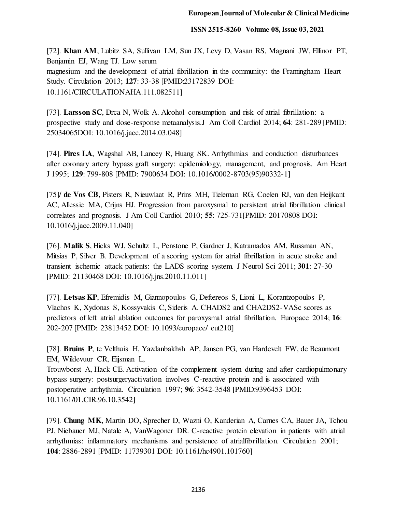[72]. **Khan AM**, Lubitz SA, Sullivan LM, Sun JX, Levy D, Vasan RS, Magnani JW, Ellinor PT, Benjamin EJ, Wang TJ. Low serum magnesium and the development of atrial fibrillation in the community: the Framingham Heart Study. Circulation 2013; **127**: 33-38 [PMID:23172839 DOI: 10.1161/CIRCULATIONAHA.111.082511]

[73]. **Larsson SC**, Drca N, Wolk A. Alcohol consumption and risk of atrial fibrillation: a prospective study and dose-response metaanalysis.J Am Coll Cardiol 2014; **64**: 281-289 [PMID: 25034065DOI: 10.1016/j.jacc.2014.03.048]

[74]. **Pires LA**, Wagshal AB, Lancey R, Huang SK. Arrhythmias and conduction disturbances after coronary artery bypass graft surgery: epidemiology, management, and prognosis. Am Heart J 1995; **129**: 799-808 [PMID: 7900634 DOI: 10.1016/0002-8703(95)90332-1]

[75]/ **de Vos CB**, Pisters R, Nieuwlaat R, Prins MH, Tieleman RG, Coelen RJ, van den Heijkant AC, Allessie MA, Crijns HJ. Progression from paroxysmal to persistent atrial fibrillation clinical correlates and prognosis. J Am Coll Cardiol 2010; **55**: 725-731[PMID: 20170808 DOI: 10.1016/j.jacc.2009.11.040]

[76]. **Malik S**, Hicks WJ, Schultz L, Penstone P, Gardner J, Katramados AM, Russman AN, Mitsias P, Silver B. Development of a scoring system for atrial fibrillation in acute stroke and transient ischemic attack patients: the LADS scoring system. J Neurol Sci 2011; **301**: 27-30 [PMID: 21130468 DOI: 10.1016/j.jns.2010.11.011]

[77]. **Letsas KP**, Efremidis M, Giannopoulos G, Deftereos S, Lioni L, Korantzopoulos P, Vlachos K, Xydonas S, Kossyvakis C, Sideris A. CHADS2 and CHA2DS2-VASc scores as predictors of left atrial ablation outcomes for paroxysmal atrial fibrillation. Europace 2014; **16**: 202-207 [PMID: 23813452 DOI: 10.1093/europace/ eut210]

[78]. **Bruins P**, te Velthuis H, Yazdanbakhsh AP, Jansen PG, van Hardevelt FW, de Beaumont EM, Wildevuur CR, Eijsman L,

Trouwborst A, Hack CE. Activation of the complement system during and after cardiopulmonary bypass surgery: postsurgeryactivation involves C-reactive protein and is associated with postoperative arrhythmia. Circulation 1997; **96**: 3542-3548 [PMID:9396453 DOI: 10.1161/01.CIR.96.10.3542]

[79]. **Chung MK**, Martin DO, Sprecher D, Wazni O, Kanderian A, Carnes CA, Bauer JA, Tchou PJ, Niebauer MJ, Natale A, VanWagoner DR. C-reactive protein elevation in patients with atrial arrhythmias: inflammatory mechanisms and persistence of atrialfibrillation. Circulation 2001; **104**: 2886-2891 [PMID: 11739301 DOI: 10.1161/hc4901.101760]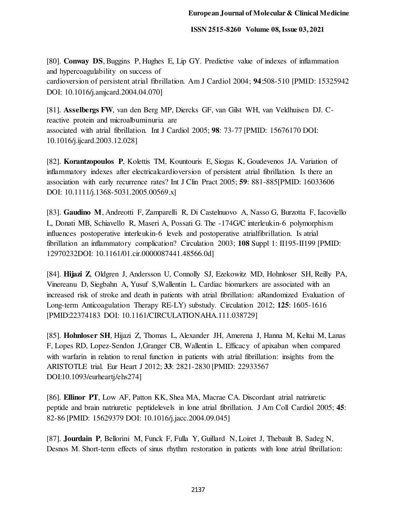[80]. **Conway DS**, Buggins P, Hughes E, Lip GY. Predictive value of indexes of inflammation and hypercoagulability on success of cardioversion of persistent atrial fibrillation. Am J Cardiol 2004; **94**:508-510 [PMID: 15325942 DOI: 10.1016/j.amjcard.2004.04.070]

[81]. **Asselbergs FW**, van den Berg MP, Diercks GF, van Gilst WH, van Veldhuisen DJ. Creactive protein and microalbuminuria are associated with atrial fibrillation. Int J Cardiol 2005; **98**: 73-77 [PMID: 15676170 DOI: 10.1016/j.ijcard.2003.12.028]

[82]. **Korantzopoulos P**, Kolettis TM, Kountouris E, Siogas K, Goudevenos JA. Variation of inflammatory indexes after electricalcardioversion of persistent atrial fibrillation. Is there an association with early recurrence rates? Int J Clin Pract 2005; **59**: 881-885[PMID: 16033606 DOI: 10.1111/j.1368-5031.2005.00569.x]

[83]. **Gaudino M**, Andreotti F, Zamparelli R, Di Castelnuovo A, Nasso G, Burzotta F, Iacoviello L, Donati MB, Schiavello R, Maseri A, Possati G. The -174G/C interleukin-6 polymorphism influences postoperative interleukin-6 levels and postoperative atrialfibrillation. Is atrial fibrillation an inflammatory complication? Circulation 2003; **108** Suppl 1: II195-II199 [PMID: 12970232DOI: 10.1161/01.cir.0000087441.48566.0d]

[84]. **Hijazi Z**, Oldgren J, Andersson U, Connolly SJ, Ezekowitz MD, Hohnloser SH, Reilly PA, Vinereanu D, Siegbahn A, Yusuf S,Wallentin L. Cardiac biomarkers are associated with an increased risk of stroke and death in patients with atrial fibrillation: aRandomized Evaluation of Long-term Anticoagulation Therapy RE-LY) substudy. Circulation 2012; **125**: 1605-1616 [PMID:22374183 DOI: 10.1161/CIRCULATIONAHA.111.038729]

[85]. **Hohnloser SH**, Hijazi Z, Thomas L, Alexander JH, Amerena J, Hanna M, Keltai M, Lanas F, Lopes RD, Lopez-Sendon J,Granger CB, Wallentin L. Efficacy of apixaban when compared with warfarin in relation to renal function in patients with atrial fibrillation: insights from the ARISTOTLE trial. Eur Heart J 2012; **33**: 2821-2830 [PMID: 22933567 DOI:10.1093/eurheartj/ehs274]

[86]. **Ellinor PT**, Low AF, Patton KK, Shea MA, Macrae CA. Discordant atrial natriuretic peptide and brain natriuretic peptidelevels in lone atrial fibrillation. J Am Coll Cardiol 2005; **45**: 82-86 [PMID: 15629379 DOI: 10.1016/j.jacc.2004.09.045]

[87]. **Jourdain P**, Bellorini M, Funck F, Fulla Y, Guillard N, Loiret J, Thebault B, Sadeg N, Desnos M. Short-term effects of sinus rhythm restoration in patients with lone atrial fibrillation: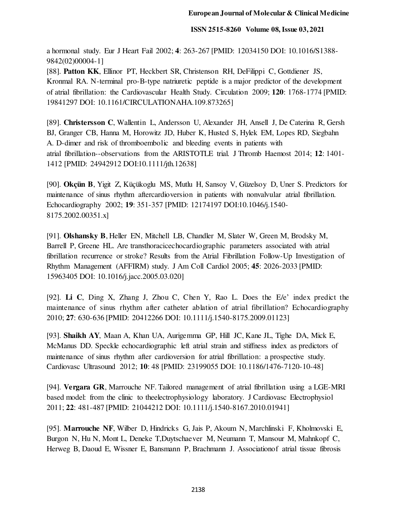a hormonal study. Eur J Heart Fail 2002; **4**: 263-267 [PMID: 12034150 DOI: 10.1016/S1388- 9842(02)00004-1]

[88]. **Patton KK**, Ellinor PT, Heckbert SR, Christenson RH, DeFilippi C, Gottdiener JS, Kronmal RA. N-terminal pro-B-type natriuretic peptide is a major predictor of the development of atrial fibrillation: the Cardiovascular Health Study. Circulation 2009; **120**: 1768-1774 [PMID: 19841297 DOI: 10.1161/CIRCULATIONAHA.109.873265]

[89]. **Christersson C**, Wallentin L, Andersson U, Alexander JH, Ansell J, De Caterina R, Gersh BJ, Granger CB, Hanna M, Horowitz JD, Huber K, Husted S, Hylek EM, Lopes RD, Siegbahn A. D-dimer and risk of thromboembolic and bleeding events in patients with atrial fibrillation--observations from the ARISTOTLE trial. J Thromb Haemost 2014; **12**: 1401- 1412 [PMID: 24942912 DOI:10.1111/jth.12638]

[90]. **Okçün B**, Yigit Z, Küçükoglu MS, Mutlu H, Sansoy V, Güzelsoy D, Uner S. Predictors for maintenance of sinus rhythm aftercardioversion in patients with nonvalvular atrial fibrillation. Echocardiography 2002; **19**: 351-357 [PMID: 12174197 DOI:10.1046/j.1540- 8175.2002.00351.x]

[91]. **Olshansky B**, Heller EN, Mitchell LB, Chandler M, Slater W, Green M, Brodsky M, Barrell P, Greene HL. Are transthoracicechocardiographic parameters associated with atrial fibrillation recurrence or stroke? Results from the Atrial Fibrillation Follow-Up Investigation of Rhythm Management (AFFIRM) study. J Am Coll Cardiol 2005; **45**: 2026-2033 [PMID: 15963405 DOI: 10.1016/j.jacc.2005.03.020]

[92]. **Li C**, Ding X, Zhang J, Zhou C, Chen Y, Rao L. Does the E/e' index predict the maintenance of sinus rhythm after catheter ablation of atrial fibrillation? Echocardiography 2010; **27**: 630-636 [PMID: 20412266 DOI: 10.1111/j.1540-8175.2009.01123]

[93]. **Shaikh AY**, Maan A, Khan UA, Aurigemma GP, Hill JC, Kane JL, Tighe DA, Mick E, McManus DD. Speckle echocardiographic left atrial strain and stiffness index as predictors of maintenance of sinus rhythm after cardioversion for atrial fibrillation: a prospective study. Cardiovasc Ultrasound 2012; **10**: 48 [PMID: 23199055 DOI: 10.1186/1476-7120-10-48]

[94]. **Vergara GR**, Marrouche NF. Tailored management of atrial fibrillation using a LGE-MRI based model: from the clinic to theelectrophysiology laboratory. J Cardiovasc Electrophysiol 2011; **22**: 481-487 [PMID: 21044212 DOI: 10.1111/j.1540-8167.2010.01941]

[95]. **Marrouche NF**, Wilber D, Hindricks G, Jais P, Akoum N, Marchlinski F, Kholmovski E, Burgon N, Hu N, Mont L, Deneke T,Duytschaever M, Neumann T, Mansour M, Mahnkopf C, Herweg B, Daoud E, Wissner E, Bansmann P, Brachmann J. Associationof atrial tissue fibrosis